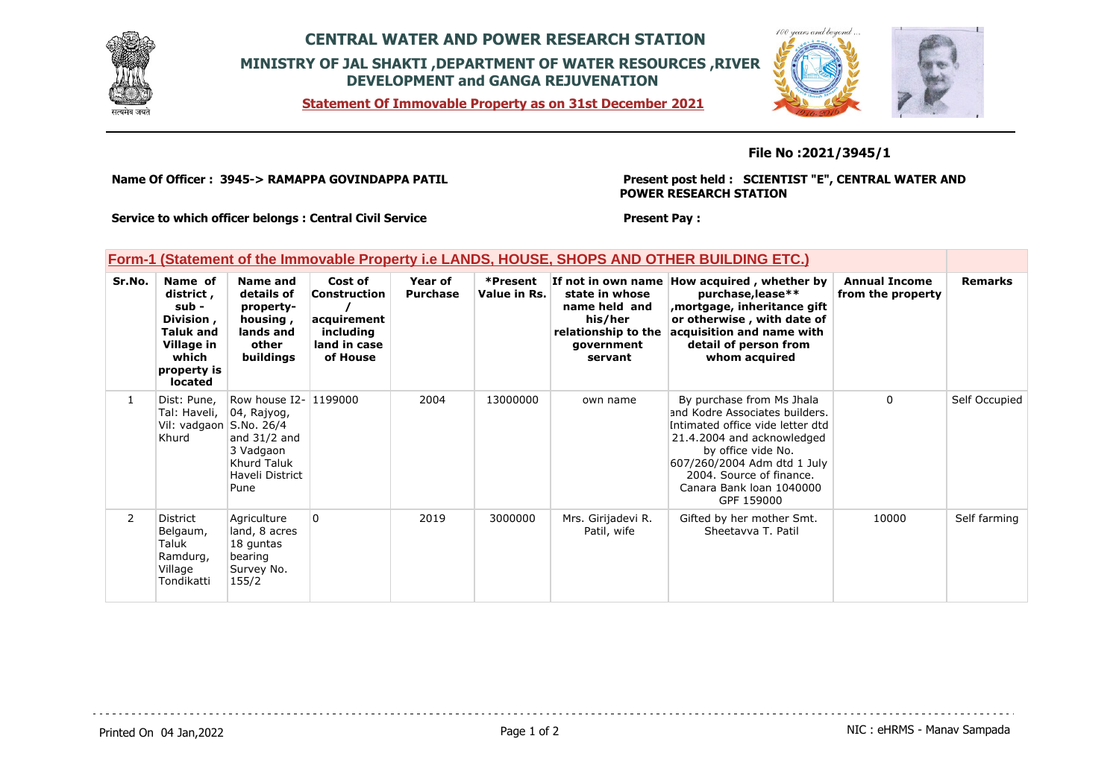

## **CENTRAL WATER AND POWER RESEARCH STATION MINISTRY OF JAL SHAKTI ,DEPARTMENT OF WATER RESOURCES ,RIVER DEVELOPMENT and GANGA REJUVENATION**

**Statement Of Immovable Property as on 31st December 2021**



## **File No :2021/3945/1**

**Name Of Officer : 3945-> RAMAPPA GOVINDAPPA PATIL** 

### **Present post held : SCIENTIST "E", CENTRAL WATER AND POWER RESEARCH STATION**

**Service to which officer belongs : Central Civil Service**

#### **Present Pay :**

### **Form-1 (Statement of the Immovable Property i.e LANDS, HOUSE, SHOPS AND OTHER BUILDING ETC.)**

| Sr.No.         | Name of<br>district,<br>sub -<br>Division,<br><b>Taluk and</b><br>Village in<br>which<br>property is<br><b>located</b> | Name and<br>details of<br>property-<br>housing,<br>lands and<br>other<br>buildings                               | Cost of<br>Construction<br>acquirement<br>including<br>land in case<br>of House | Year of<br><b>Purchase</b> | *Present<br>Value in Rs. | state in whose<br>name held and<br>his/her<br>relationship to the<br>government<br>servant | If not in own name How acquired, whether by<br>purchase, lease**<br>mortgage, inheritance gift,<br>or otherwise, with date of<br>acquisition and name with<br>detail of person from<br>whom acquired                                                     | <b>Annual Income</b><br>from the property | <b>Remarks</b> |
|----------------|------------------------------------------------------------------------------------------------------------------------|------------------------------------------------------------------------------------------------------------------|---------------------------------------------------------------------------------|----------------------------|--------------------------|--------------------------------------------------------------------------------------------|----------------------------------------------------------------------------------------------------------------------------------------------------------------------------------------------------------------------------------------------------------|-------------------------------------------|----------------|
| $\mathbf{1}$   | Dist: Pune,<br>Tal: Haveli,<br>Vil: vadgaon S.No. 26/4<br>Khurd                                                        | Row house I2- 1199000<br>$ 04,$ Rajyog,<br>and $31/2$ and<br>3 Vadgaon<br>Khurd Taluk<br>Haveli District<br>Pune |                                                                                 | 2004                       | 13000000                 | own name                                                                                   | By purchase from Ms Jhala<br>and Kodre Associates builders.<br>Intimated office vide letter dtd<br>21.4.2004 and acknowledged<br>by office vide No.<br>607/260/2004 Adm dtd 1 July<br>2004. Source of finance.<br>Canara Bank Joan 1040000<br>GPF 159000 | $\Omega$                                  | Self Occupied  |
| $\overline{2}$ | District<br>Belgaum,<br>Taluk<br>Ramdurg,<br>Village<br>Tondikatti                                                     | Agriculture<br>land, 8 acres<br>18 guntas<br>bearing<br>Survey No.<br>155/2                                      | $\Omega$                                                                        | 2019                       | 3000000                  | Mrs. Girijadevi R.<br>Patil, wife                                                          | Gifted by her mother Smt.<br>Sheetavya T. Patil                                                                                                                                                                                                          | 10000                                     | Self farming   |